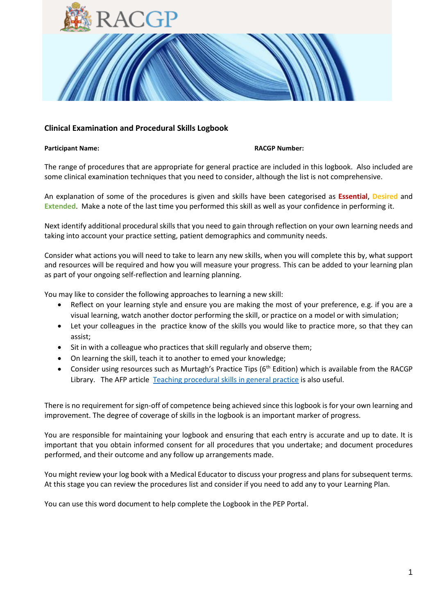

#### **Participant Name: RACGP Number:**

The range of procedures that are appropriate for general practice are included in this logbook. Also included are some clinical examination techniques that you need to consider, although the list is not comprehensive.

An explanation of some of the procedures is given and skills have been categorised as **Essential**, **Desired** and **Extended**. Make a note of the last time you performed this skill as well as your confidence in performing it.

Next identify additional procedural skills that you need to gain through reflection on your own learning needs and taking into account your practice setting, patient demographics and community needs.

Consider what actions you will need to take to learn any new skills, when you will complete this by, what support and resources will be required and how you will measure your progress. This can be added to your learning plan as part of your ongoing self-reflection and learning planning.

You may like to consider the following approaches to learning a new skill:

- Reflect on your learning style and ensure you are making the most of your preference, e.g. if you are a visual learning, watch another doctor performing the skill, or practice on a model or with simulation;
- Let your colleagues in the practice know of the skills you would like to practice more, so that they can assist;
- Sit in with a colleague who practices that skill regularly and observe them;
- On learning the skill, teach it to another to emed your knowledge;
- Consider using resources such as Murtagh's Practice Tips (6<sup>th</sup> Edition) which is available from the RACGP Library. The AFP article [Teaching procedural skills in general practice](https://www.racgp.org.au/afp/2011/januaryfebruary/teaching-procedural-skills-in-general-practice/) is also useful.

There is no requirement for sign-off of competence being achieved since this logbook is for your own learning and improvement. The degree of coverage of skills in the logbook is an important marker of progress.

You are responsible for maintaining your logbook and ensuring that each entry is accurate and up to date. It is important that you obtain informed consent for all procedures that you undertake; and document procedures performed, and their outcome and any follow up arrangements made.

You might review your log book with a Medical Educator to discuss your progress and plans for subsequent terms. At this stage you can review the procedures list and consider if you need to add any to your Learning Plan.

You can use this word document to help complete the Logbook in the PEP Portal.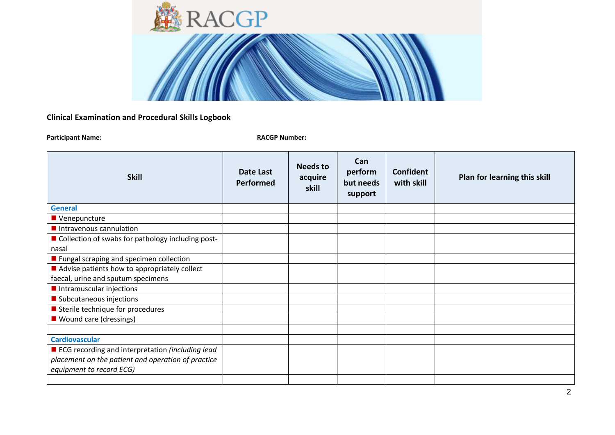

| <b>Skill</b>                                                                                                                         | Date Last<br><b>Performed</b> | Needs to<br>acquire<br>skill | Can<br>perform<br>but needs<br>support | Confident<br>with skill | Plan for learning this skill |
|--------------------------------------------------------------------------------------------------------------------------------------|-------------------------------|------------------------------|----------------------------------------|-------------------------|------------------------------|
| <b>General</b>                                                                                                                       |                               |                              |                                        |                         |                              |
| Venepuncture                                                                                                                         |                               |                              |                                        |                         |                              |
| Intravenous cannulation                                                                                                              |                               |                              |                                        |                         |                              |
| Collection of swabs for pathology including post-<br>nasal                                                                           |                               |                              |                                        |                         |                              |
| ■ Fungal scraping and specimen collection                                                                                            |                               |                              |                                        |                         |                              |
| $\blacksquare$ Advise patients how to appropriately collect                                                                          |                               |                              |                                        |                         |                              |
| faecal, urine and sputum specimens                                                                                                   |                               |                              |                                        |                         |                              |
| Intramuscular injections                                                                                                             |                               |                              |                                        |                         |                              |
| Subcutaneous injections                                                                                                              |                               |                              |                                        |                         |                              |
| Sterile technique for procedures                                                                                                     |                               |                              |                                        |                         |                              |
| ■ Wound care (dressings)                                                                                                             |                               |                              |                                        |                         |                              |
|                                                                                                                                      |                               |                              |                                        |                         |                              |
| <b>Cardiovascular</b>                                                                                                                |                               |                              |                                        |                         |                              |
| ■ ECG recording and interpretation (including lead<br>placement on the patient and operation of practice<br>equipment to record ECG) |                               |                              |                                        |                         |                              |
|                                                                                                                                      |                               |                              |                                        |                         |                              |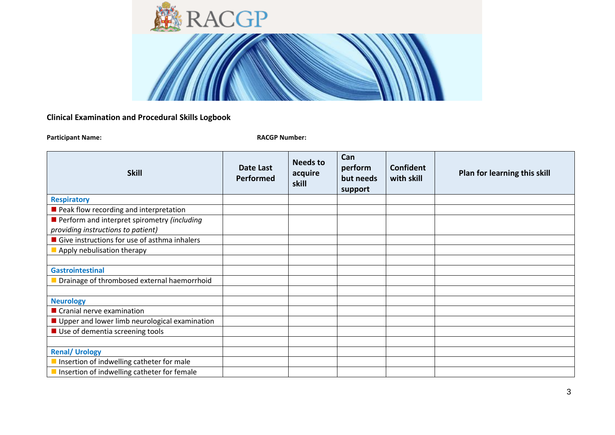

| <b>Skill</b>                                  | Date Last<br>Performed | <b>Needs to</b><br>acquire<br>skill | Can<br>perform<br>but needs<br>support | <b>Confident</b><br>with skill | Plan for learning this skill |
|-----------------------------------------------|------------------------|-------------------------------------|----------------------------------------|--------------------------------|------------------------------|
| <b>Respiratory</b>                            |                        |                                     |                                        |                                |                              |
| Peak flow recording and interpretation        |                        |                                     |                                        |                                |                              |
| Perform and interpret spirometry (including   |                        |                                     |                                        |                                |                              |
| providing instructions to patient)            |                        |                                     |                                        |                                |                              |
| Give instructions for use of asthma inhalers  |                        |                                     |                                        |                                |                              |
| Apply nebulisation therapy                    |                        |                                     |                                        |                                |                              |
|                                               |                        |                                     |                                        |                                |                              |
| <b>Gastrointestinal</b>                       |                        |                                     |                                        |                                |                              |
| Drainage of thrombosed external haemorrhoid   |                        |                                     |                                        |                                |                              |
|                                               |                        |                                     |                                        |                                |                              |
| <b>Neurology</b>                              |                        |                                     |                                        |                                |                              |
| Cranial nerve examination                     |                        |                                     |                                        |                                |                              |
| Upper and lower limb neurological examination |                        |                                     |                                        |                                |                              |
| ■ Use of dementia screening tools             |                        |                                     |                                        |                                |                              |
|                                               |                        |                                     |                                        |                                |                              |
| <b>Renal/ Urology</b>                         |                        |                                     |                                        |                                |                              |
| Insertion of indwelling catheter for male     |                        |                                     |                                        |                                |                              |
| Insertion of indwelling catheter for female   |                        |                                     |                                        |                                |                              |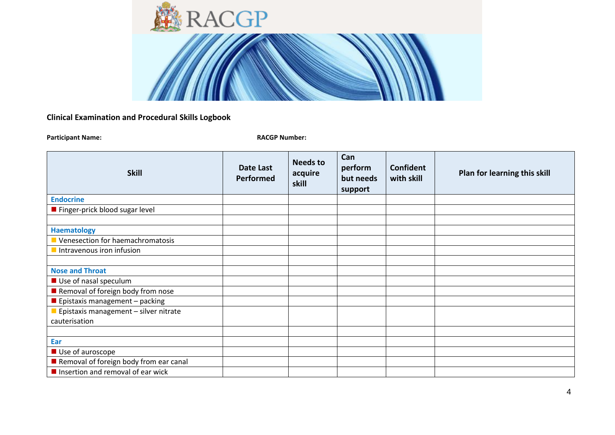

| <b>Skill</b>                                     | <b>Date Last</b><br><b>Performed</b> | <b>Needs to</b><br>acquire<br>skill | Can<br>perform<br>but needs<br>support | Confident<br>with skill | Plan for learning this skill |
|--------------------------------------------------|--------------------------------------|-------------------------------------|----------------------------------------|-------------------------|------------------------------|
| <b>Endocrine</b>                                 |                                      |                                     |                                        |                         |                              |
| Finger-prick blood sugar level                   |                                      |                                     |                                        |                         |                              |
|                                                  |                                      |                                     |                                        |                         |                              |
| <b>Haematology</b>                               |                                      |                                     |                                        |                         |                              |
| Venesection for haemachromatosis                 |                                      |                                     |                                        |                         |                              |
| Intravenous iron infusion                        |                                      |                                     |                                        |                         |                              |
|                                                  |                                      |                                     |                                        |                         |                              |
| <b>Nose and Throat</b>                           |                                      |                                     |                                        |                         |                              |
| Use of nasal speculum                            |                                      |                                     |                                        |                         |                              |
| Removal of foreign body from nose                |                                      |                                     |                                        |                         |                              |
| Epistaxis management - packing                   |                                      |                                     |                                        |                         |                              |
| Epistaxis management - silver nitrate            |                                      |                                     |                                        |                         |                              |
| cauterisation                                    |                                      |                                     |                                        |                         |                              |
|                                                  |                                      |                                     |                                        |                         |                              |
| Ear                                              |                                      |                                     |                                        |                         |                              |
| Use of auroscope                                 |                                      |                                     |                                        |                         |                              |
| Removal of foreign body from ear canal           |                                      |                                     |                                        |                         |                              |
| $\blacksquare$ Insertion and removal of ear wick |                                      |                                     |                                        |                         |                              |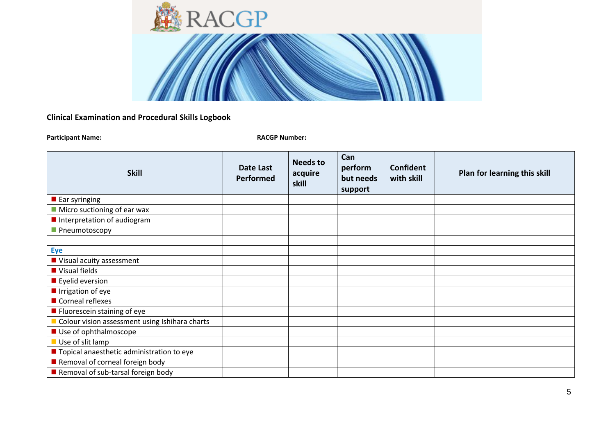

| <b>Skill</b>                                   | Date Last<br><b>Performed</b> | <b>Needs to</b><br>acquire<br>skill | Can<br>perform<br>but needs<br>support | Confident<br>with skill | Plan for learning this skill |
|------------------------------------------------|-------------------------------|-------------------------------------|----------------------------------------|-------------------------|------------------------------|
| $\blacksquare$ Ear syringing                   |                               |                                     |                                        |                         |                              |
| $\blacksquare$ Micro suctioning of ear wax     |                               |                                     |                                        |                         |                              |
| Interpretation of audiogram                    |                               |                                     |                                        |                         |                              |
| Pneumotoscopy                                  |                               |                                     |                                        |                         |                              |
|                                                |                               |                                     |                                        |                         |                              |
| <b>Eye</b>                                     |                               |                                     |                                        |                         |                              |
| Visual acuity assessment                       |                               |                                     |                                        |                         |                              |
| Visual fields                                  |                               |                                     |                                        |                         |                              |
| $\blacksquare$ Eyelid eversion                 |                               |                                     |                                        |                         |                              |
| Irrigation of eye                              |                               |                                     |                                        |                         |                              |
| Corneal reflexes                               |                               |                                     |                                        |                         |                              |
| ■ Fluorescein staining of eye                  |                               |                                     |                                        |                         |                              |
| Colour vision assessment using Ishihara charts |                               |                                     |                                        |                         |                              |
| Use of ophthalmoscope                          |                               |                                     |                                        |                         |                              |
| Use of slit lamp                               |                               |                                     |                                        |                         |                              |
| ■ Topical anaesthetic administration to eye    |                               |                                     |                                        |                         |                              |
| Removal of corneal foreign body                |                               |                                     |                                        |                         |                              |
| Removal of sub-tarsal foreign body             |                               |                                     |                                        |                         |                              |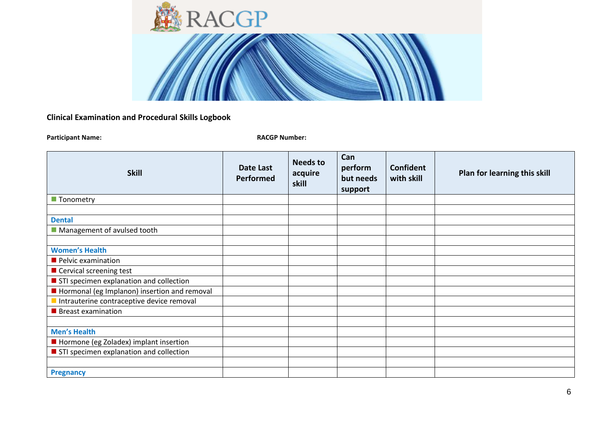

| <b>Skill</b>                                 | <b>Date Last</b><br>Performed | <b>Needs to</b><br>acquire<br>skill | Can<br>perform<br>but needs<br>support | Confident<br>with skill | Plan for learning this skill |
|----------------------------------------------|-------------------------------|-------------------------------------|----------------------------------------|-------------------------|------------------------------|
| ■ Tonometry                                  |                               |                                     |                                        |                         |                              |
|                                              |                               |                                     |                                        |                         |                              |
| <b>Dental</b>                                |                               |                                     |                                        |                         |                              |
| Management of avulsed tooth                  |                               |                                     |                                        |                         |                              |
|                                              |                               |                                     |                                        |                         |                              |
| <b>Women's Health</b>                        |                               |                                     |                                        |                         |                              |
| Pelvic examination                           |                               |                                     |                                        |                         |                              |
| ■ Cervical screening test                    |                               |                                     |                                        |                         |                              |
| STI specimen explanation and collection      |                               |                                     |                                        |                         |                              |
| Hormonal (eg Implanon) insertion and removal |                               |                                     |                                        |                         |                              |
| Intrauterine contraceptive device removal    |                               |                                     |                                        |                         |                              |
| <b>Breast examination</b>                    |                               |                                     |                                        |                         |                              |
|                                              |                               |                                     |                                        |                         |                              |
| <b>Men's Health</b>                          |                               |                                     |                                        |                         |                              |
| Hormone (eg Zoladex) implant insertion       |                               |                                     |                                        |                         |                              |
| STI specimen explanation and collection      |                               |                                     |                                        |                         |                              |
|                                              |                               |                                     |                                        |                         |                              |
| <b>Pregnancy</b>                             |                               |                                     |                                        |                         |                              |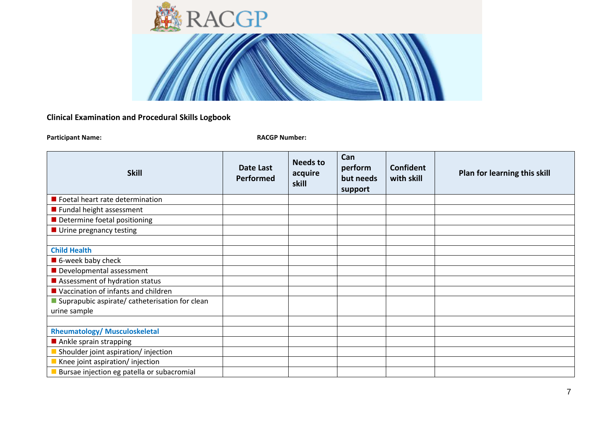

| <b>Skill</b>                                   | Date Last<br>Performed | <b>Needs to</b><br>acquire<br>skill | Can<br>perform<br>but needs<br>support | <b>Confident</b><br>with skill | Plan for learning this skill |
|------------------------------------------------|------------------------|-------------------------------------|----------------------------------------|--------------------------------|------------------------------|
| Foetal heart rate determination                |                        |                                     |                                        |                                |                              |
| ■ Fundal height assessment                     |                        |                                     |                                        |                                |                              |
| Determine foetal positioning                   |                        |                                     |                                        |                                |                              |
| ■ Urine pregnancy testing                      |                        |                                     |                                        |                                |                              |
|                                                |                        |                                     |                                        |                                |                              |
| <b>Child Health</b>                            |                        |                                     |                                        |                                |                              |
| ■ 6-week baby check                            |                        |                                     |                                        |                                |                              |
| Developmental assessment                       |                        |                                     |                                        |                                |                              |
| Assessment of hydration status                 |                        |                                     |                                        |                                |                              |
| ■ Vaccination of infants and children          |                        |                                     |                                        |                                |                              |
| Suprapubic aspirate/ catheterisation for clean |                        |                                     |                                        |                                |                              |
| urine sample                                   |                        |                                     |                                        |                                |                              |
|                                                |                        |                                     |                                        |                                |                              |
| <b>Rheumatology/ Musculoskeletal</b>           |                        |                                     |                                        |                                |                              |
| Ankle sprain strapping                         |                        |                                     |                                        |                                |                              |
| Shoulder joint aspiration/injection            |                        |                                     |                                        |                                |                              |
| Knee joint aspiration/ injection               |                        |                                     |                                        |                                |                              |
| Bursae injection eg patella or subacromial     |                        |                                     |                                        |                                |                              |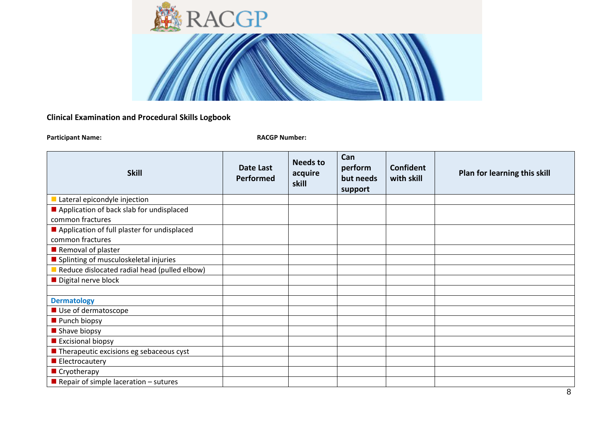

| <b>Skill</b>                                           | Date Last<br>Performed | <b>Needs to</b><br>acquire<br>skill | Can<br>perform<br>but needs<br>support | Confident<br>with skill | Plan for learning this skill |
|--------------------------------------------------------|------------------------|-------------------------------------|----------------------------------------|-------------------------|------------------------------|
| Lateral epicondyle injection                           |                        |                                     |                                        |                         |                              |
| Application of back slab for undisplaced               |                        |                                     |                                        |                         |                              |
| common fractures                                       |                        |                                     |                                        |                         |                              |
| Application of full plaster for undisplaced            |                        |                                     |                                        |                         |                              |
| common fractures                                       |                        |                                     |                                        |                         |                              |
| Removal of plaster                                     |                        |                                     |                                        |                         |                              |
| Splinting of musculoskeletal injuries                  |                        |                                     |                                        |                         |                              |
| Reduce dislocated radial head (pulled elbow)           |                        |                                     |                                        |                         |                              |
| Digital nerve block                                    |                        |                                     |                                        |                         |                              |
|                                                        |                        |                                     |                                        |                         |                              |
| <b>Dermatology</b>                                     |                        |                                     |                                        |                         |                              |
| Use of dermatoscope                                    |                        |                                     |                                        |                         |                              |
| Punch biopsy                                           |                        |                                     |                                        |                         |                              |
| Shave biopsy                                           |                        |                                     |                                        |                         |                              |
| Excisional biopsy                                      |                        |                                     |                                        |                         |                              |
| $\blacksquare$ Therapeutic excisions eg sebaceous cyst |                        |                                     |                                        |                         |                              |
| Electrocautery                                         |                        |                                     |                                        |                         |                              |
| Cryotherapy                                            |                        |                                     |                                        |                         |                              |
| Repair of simple laceration $-$ sutures                |                        |                                     |                                        |                         |                              |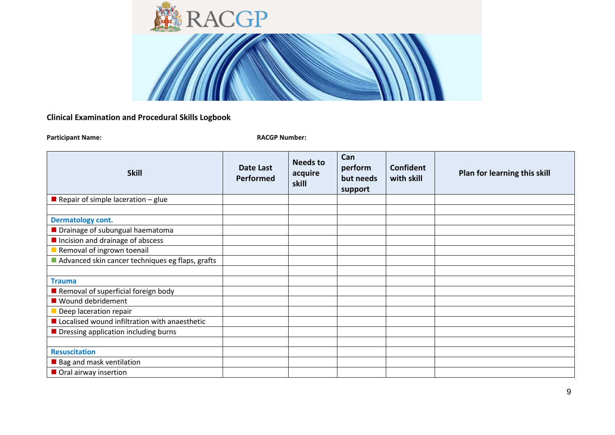

| <b>Skill</b>                                             | Date Last<br>Performed | <b>Needs to</b><br>acquire<br>skill | Can<br>perform<br>but needs<br>support | <b>Confident</b><br>with skill | Plan for learning this skill |
|----------------------------------------------------------|------------------------|-------------------------------------|----------------------------------------|--------------------------------|------------------------------|
| Repair of simple laceration $-$ glue                     |                        |                                     |                                        |                                |                              |
|                                                          |                        |                                     |                                        |                                |                              |
| <b>Dermatology cont.</b>                                 |                        |                                     |                                        |                                |                              |
| Drainage of subungual haematoma                          |                        |                                     |                                        |                                |                              |
| Incision and drainage of abscess                         |                        |                                     |                                        |                                |                              |
| Removal of ingrown toenail                               |                        |                                     |                                        |                                |                              |
| Advanced skin cancer techniques eg flaps, grafts         |                        |                                     |                                        |                                |                              |
|                                                          |                        |                                     |                                        |                                |                              |
| <b>Trauma</b>                                            |                        |                                     |                                        |                                |                              |
| Removal of superficial foreign body                      |                        |                                     |                                        |                                |                              |
| ■ Wound debridement                                      |                        |                                     |                                        |                                |                              |
| Deep laceration repair                                   |                        |                                     |                                        |                                |                              |
| Localised wound infiltration with anaesthetic            |                        |                                     |                                        |                                |                              |
| <b>Dimensional Dimessing application including burns</b> |                        |                                     |                                        |                                |                              |
|                                                          |                        |                                     |                                        |                                |                              |
| <b>Resuscitation</b>                                     |                        |                                     |                                        |                                |                              |
| ■ Bag and mask ventilation                               |                        |                                     |                                        |                                |                              |
| Oral airway insertion                                    |                        |                                     |                                        |                                |                              |